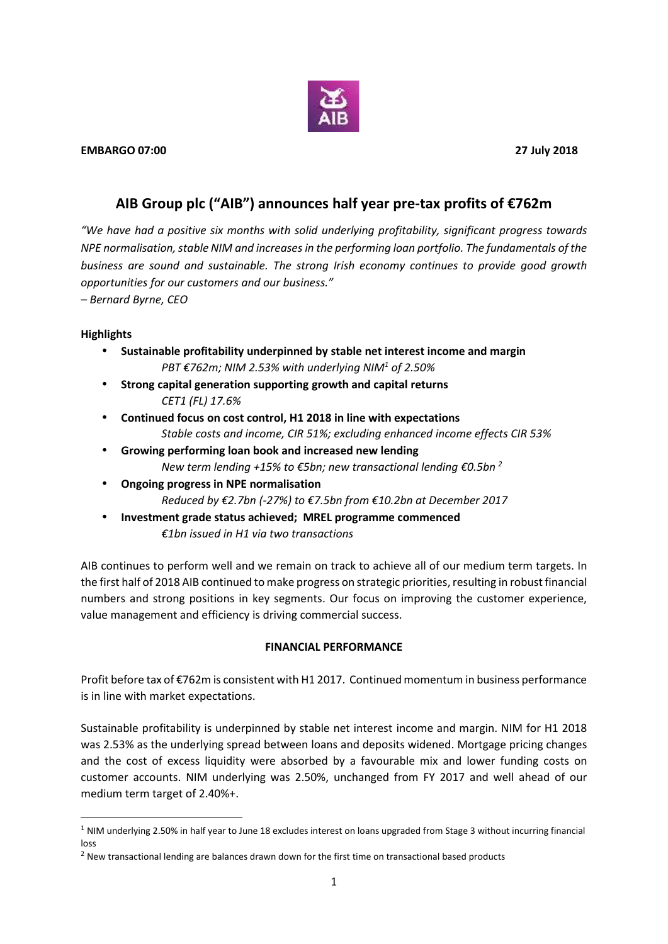

# **AIB Group plc ("AIB") announces half year pre-tax profits of €762m**

*"We have had a positive six months with solid underlying profitability, significant progress towards NPE normalisation, stable NIM and increasesin the performing loan portfolio. The fundamentals of the business are sound and sustainable. The strong Irish economy continues to provide good growth opportunities for our customers and our business."*

*– Bernard Byrne, CEO*

### **Highlights**

- **Sustainable profitability underpinned by stable net interest income and margin** *PBT €762m; NIM 2.53% with underlying NIM<sup>1</sup> of 2.50%*
- **Strong capital generation supporting growth and capital returns** *CET1 (FL) 17.6%*
- **Continued focus on cost control, H1 2018 in line with expectations** *Stable costs and income, CIR 51%; excluding enhanced income effects CIR 53%*
- **Growing performing loan book and increased new lending** *New term lending +15% to €5bn; new transactional lending €0.5bn <sup>2</sup>*
- **Ongoing progress in NPE normalisation** *Reduced by €2.7bn (-27%) to €7.5bn from €10.2bn at December 2017*
- **Investment grade status achieved; MREL programme commenced** *€1bn issued in H1 via two transactions*

AIB continues to perform well and we remain on track to achieve all of our medium term targets. In the first half of 2018 AIB continued to make progress on strategic priorities, resulting in robust financial numbers and strong positions in key segments. Our focus on improving the customer experience, value management and efficiency is driving commercial success.

# **FINANCIAL PERFORMANCE**

Profit before tax of €762m is consistent with H1 2017. Continued momentum in business performance is in line with market expectations.

Sustainable profitability is underpinned by stable net interest income and margin. NIM for H1 2018 was 2.53% as the underlying spread between loans and deposits widened. Mortgage pricing changes and the cost of excess liquidity were absorbed by a favourable mix and lower funding costs on customer accounts. NIM underlying was 2.50%, unchanged from FY 2017 and well ahead of our medium term target of 2.40%+.

<sup>&</sup>lt;sup>1</sup> NIM underlving 2.50% in half year to June 18 excludes interest on loans upgraded from Stage 3 without incurring financial loss

 $<sup>2</sup>$  New transactional lending are balances drawn down for the first time on transactional based products</sup>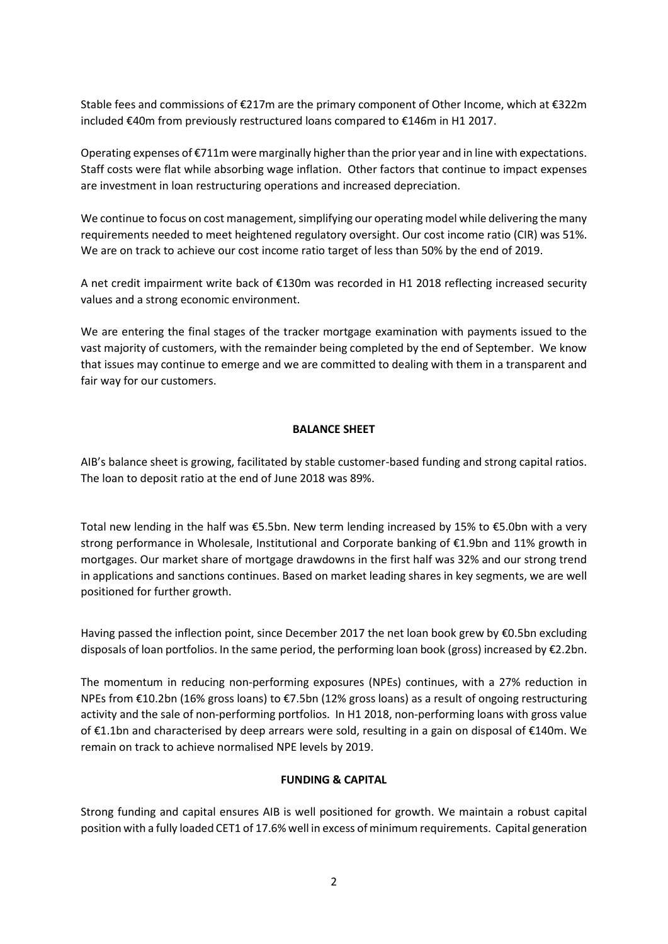Stable fees and commissions of €217m are the primary component of Other Income, which at €322m included €40m from previously restructured loans compared to €146m in H1 2017.

Operating expenses of €711m were marginally higher than the prior year and in line with expectations. Staff costs were flat while absorbing wage inflation. Other factors that continue to impact expenses are investment in loan restructuring operations and increased depreciation.

We continue to focus on cost management, simplifying our operating model while delivering the many requirements needed to meet heightened regulatory oversight. Our cost income ratio (CIR) was 51%. We are on track to achieve our cost income ratio target of less than 50% by the end of 2019.

A net credit impairment write back of €130m was recorded in H1 2018 reflecting increased security values and a strong economic environment.

We are entering the final stages of the tracker mortgage examination with payments issued to the vast majority of customers, with the remainder being completed by the end of September. We know that issues may continue to emerge and we are committed to dealing with them in a transparent and fair way for our customers.

### **BALANCE SHEET**

AIB's balance sheet is growing, facilitated by stable customer-based funding and strong capital ratios. The loan to deposit ratio at the end of June 2018 was 89%.

Total new lending in the half was €5.5bn. New term lending increased by 15% to €5.0bn with a very strong performance in Wholesale, Institutional and Corporate banking of €1.9bn and 11% growth in mortgages. Our market share of mortgage drawdowns in the first half was 32% and our strong trend in applications and sanctions continues. Based on market leading shares in key segments, we are well positioned for further growth.

Having passed the inflection point, since December 2017 the net loan book grew by €0.5bn excluding disposals of loan portfolios. In the same period, the performing loan book (gross) increased by €2.2bn.

The momentum in reducing non-performing exposures (NPEs) continues, with a 27% reduction in NPEs from €10.2bn (16% gross loans) to €7.5bn (12% gross loans) as a result of ongoing restructuring activity and the sale of non-performing portfolios. In H1 2018, non-performing loans with gross value of €1.1bn and characterised by deep arrears were sold, resulting in a gain on disposal of €140m. We remain on track to achieve normalised NPE levels by 2019.

# **FUNDING & CAPITAL**

Strong funding and capital ensures AIB is well positioned for growth. We maintain a robust capital position with a fully loaded CET1 of 17.6% well in excess of minimum requirements. Capital generation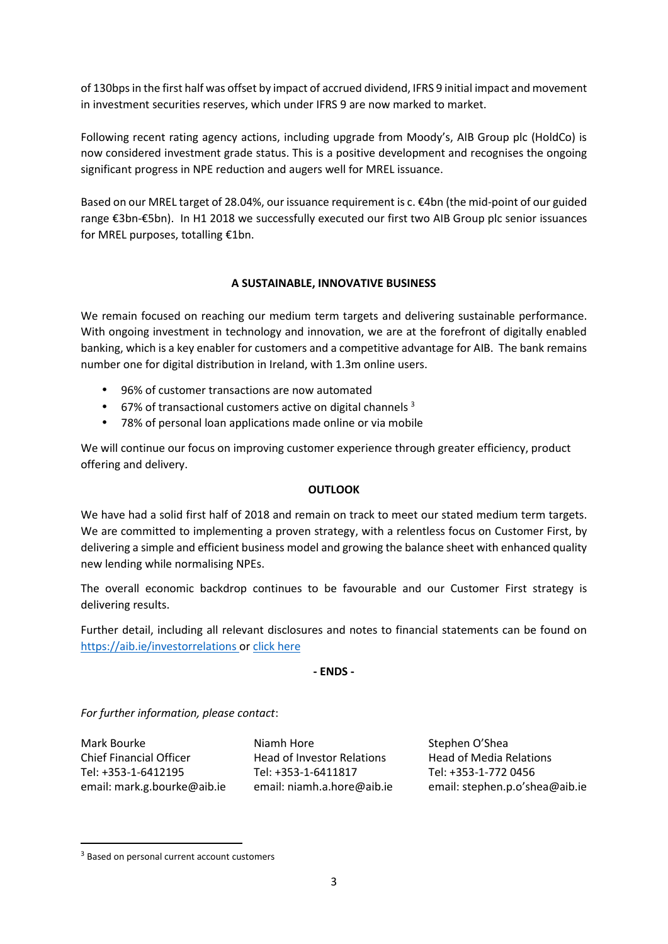of 130bpsin the first half was offset by impact of accrued dividend, IFRS 9 initial impact and movement in investment securities reserves, which under IFRS 9 are now marked to market.

Following recent rating agency actions, including upgrade from Moody's, AIB Group plc (HoldCo) is now considered investment grade status. This is a positive development and recognises the ongoing significant progress in NPE reduction and augers well for MREL issuance.

Based on our MREL target of 28.04%, our issuance requirement is c. €4bn (the mid-point of our guided range €3bn-€5bn). In H1 2018 we successfully executed our first two AIB Group plc senior issuances for MREL purposes, totalling €1bn.

### **A SUSTAINABLE, INNOVATIVE BUSINESS**

We remain focused on reaching our medium term targets and delivering sustainable performance. With ongoing investment in technology and innovation, we are at the forefront of digitally enabled banking, which is a key enabler for customers and a competitive advantage for AIB. The bank remains number one for digital distribution in Ireland, with 1.3m online users.

- 96% of customer transactions are now automated
- $\bullet$  67% of transactional customers active on digital channels  $3$
- 78% of personal loan applications made online or via mobile

We will continue our focus on improving customer experience through greater efficiency, product offering and delivery.

#### **OUTLOOK**

We have had a solid first half of 2018 and remain on track to meet our stated medium term targets. We are committed to implementing a proven strategy, with a relentless focus on Customer First, by delivering a simple and efficient business model and growing the balance sheet with enhanced quality new lending while normalising NPEs.

The overall economic backdrop continues to be favourable and our Customer First strategy is delivering results.

Further detail, including all relevant disclosures and notes to financial statements can be found on https://aib.ie/investorrelations or click [here](https://aib.ie/content/dam/aib/investorrelations/docs/resultscentre/2018-half-yearly-financial-results/aib-group-plc-half-yearly-financial-report-2018.pdf)

#### **- ENDS -**

*For further information, please contact*:

Mark Bourke **Night Allen Communist Communist Communist Communist Communist Communist Communist Communist Communist Communist Communist Communist Communist Communist Communist Communist Communist Communist Communist Communi** 

Chief Financial Officer Head of Investor Relations Head of Media Relations Tel: +353-1-6412195 Tel: +353-1-6411817 Tel: +353-1-772 0456

email: mark.g.bourke@aib.ie email: niamh.a.hore@aib.ie email: stephen.p.o'shea@aib.ie

<sup>&</sup>lt;sup>3</sup> Based on personal current account customers